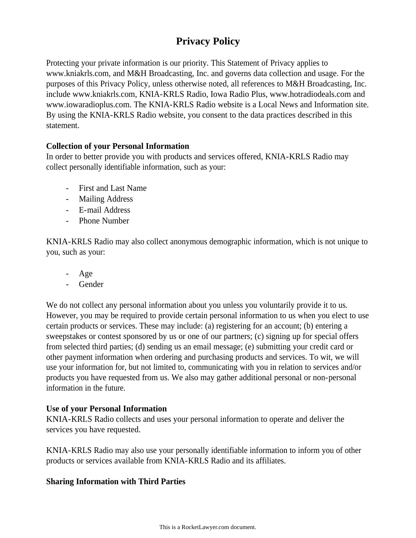# **Privacy Policy**

Protecting your private information is our priority. This Statement of Privacy applies to www.kniakrls.com, and M&H Broadcasting, Inc. and governs data collection and usage. For the purposes of this Privacy Policy, unless otherwise noted, all references to M&H Broadcasting, Inc. include www.kniakrls.com, KNIA-KRLS Radio, Iowa Radio Plus, www.hotradiodeals.com and www.iowaradioplus.com. The KNIA-KRLS Radio website is a Local News and Information site. By using the KNIA-KRLS Radio website, you consent to the data practices described in this statement.

# **Collection of your Personal Information**

In order to better provide you with products and services offered, KNIA-KRLS Radio may collect personally identifiable information, such as your:

- First and Last Name
- Mailing Address
- E-mail Address
- Phone Number

KNIA-KRLS Radio may also collect anonymous demographic information, which is not unique to you, such as your:

- Age
- Gender

We do not collect any personal information about you unless you voluntarily provide it to us. However, you may be required to provide certain personal information to us when you elect to use certain products or services. These may include: (a) registering for an account; (b) entering a sweepstakes or contest sponsored by us or one of our partners; (c) signing up for special offers from selected third parties; (d) sending us an email message; (e) submitting your credit card or other payment information when ordering and purchasing products and services. To wit, we will use your information for, but not limited to, communicating with you in relation to services and/or products you have requested from us. We also may gather additional personal or non-personal information in the future.

# **Use of your Personal Information**

KNIA-KRLS Radio collects and uses your personal information to operate and deliver the services you have requested.

KNIA-KRLS Radio may also use your personally identifiable information to inform you of other products or services available from KNIA-KRLS Radio and its affiliates.

# **Sharing Information with Third Parties**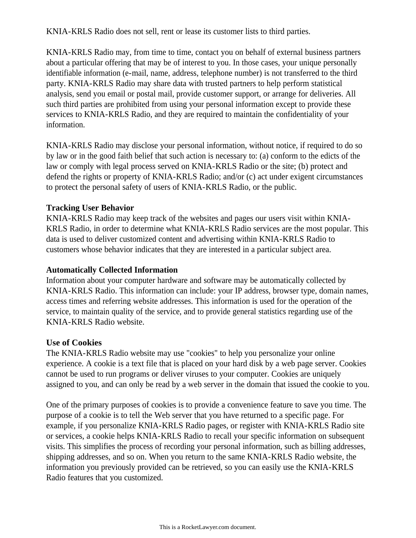KNIA-KRLS Radio does not sell, rent or lease its customer lists to third parties.

KNIA-KRLS Radio may, from time to time, contact you on behalf of external business partners about a particular offering that may be of interest to you. In those cases, your unique personally identifiable information (e-mail, name, address, telephone number) is not transferred to the third party. KNIA-KRLS Radio may share data with trusted partners to help perform statistical analysis, send you email or postal mail, provide customer support, or arrange for deliveries. All such third parties are prohibited from using your personal information except to provide these services to KNIA-KRLS Radio, and they are required to maintain the confidentiality of your information.

KNIA-KRLS Radio may disclose your personal information, without notice, if required to do so by law or in the good faith belief that such action is necessary to: (a) conform to the edicts of the law or comply with legal process served on KNIA-KRLS Radio or the site; (b) protect and defend the rights or property of KNIA-KRLS Radio; and/or (c) act under exigent circumstances to protect the personal safety of users of KNIA-KRLS Radio, or the public.

### **Tracking User Behavior**

KNIA-KRLS Radio may keep track of the websites and pages our users visit within KNIA-KRLS Radio, in order to determine what KNIA-KRLS Radio services are the most popular. This data is used to deliver customized content and advertising within KNIA-KRLS Radio to customers whose behavior indicates that they are interested in a particular subject area.

### **Automatically Collected Information**

Information about your computer hardware and software may be automatically collected by KNIA-KRLS Radio. This information can include: your IP address, browser type, domain names, access times and referring website addresses. This information is used for the operation of the service, to maintain quality of the service, and to provide general statistics regarding use of the KNIA-KRLS Radio website.

### **Use of Cookies**

The KNIA-KRLS Radio website may use "cookies" to help you personalize your online experience. A cookie is a text file that is placed on your hard disk by a web page server. Cookies cannot be used to run programs or deliver viruses to your computer. Cookies are uniquely assigned to you, and can only be read by a web server in the domain that issued the cookie to you.

One of the primary purposes of cookies is to provide a convenience feature to save you time. The purpose of a cookie is to tell the Web server that you have returned to a specific page. For example, if you personalize KNIA-KRLS Radio pages, or register with KNIA-KRLS Radio site or services, a cookie helps KNIA-KRLS Radio to recall your specific information on subsequent visits. This simplifies the process of recording your personal information, such as billing addresses, shipping addresses, and so on. When you return to the same KNIA-KRLS Radio website, the information you previously provided can be retrieved, so you can easily use the KNIA-KRLS Radio features that you customized.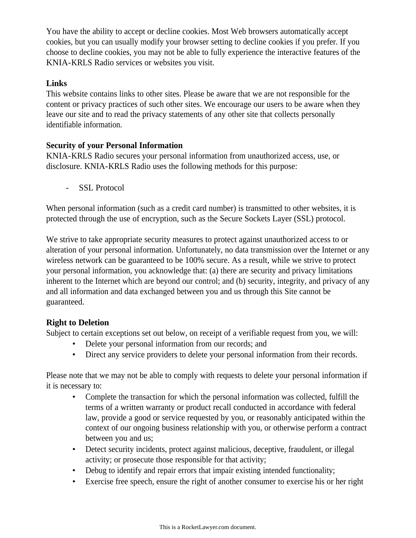You have the ability to accept or decline cookies. Most Web browsers automatically accept cookies, but you can usually modify your browser setting to decline cookies if you prefer. If you choose to decline cookies, you may not be able to fully experience the interactive features of the KNIA-KRLS Radio services or websites you visit.

## **Links**

This website contains links to other sites. Please be aware that we are not responsible for the content or privacy practices of such other sites. We encourage our users to be aware when they leave our site and to read the privacy statements of any other site that collects personally identifiable information.

## **Security of your Personal Information**

KNIA-KRLS Radio secures your personal information from unauthorized access, use, or disclosure. KNIA-KRLS Radio uses the following methods for this purpose:

- SSL Protocol

When personal information (such as a credit card number) is transmitted to other websites, it is protected through the use of encryption, such as the Secure Sockets Layer (SSL) protocol.

We strive to take appropriate security measures to protect against unauthorized access to or alteration of your personal information. Unfortunately, no data transmission over the Internet or any wireless network can be guaranteed to be 100% secure. As a result, while we strive to protect your personal information, you acknowledge that: (a) there are security and privacy limitations inherent to the Internet which are beyond our control; and (b) security, integrity, and privacy of any and all information and data exchanged between you and us through this Site cannot be guaranteed.

# **Right to Deletion**

Subject to certain exceptions set out below, on receipt of a verifiable request from you, we will:

- Delete your personal information from our records; and
- Direct any service providers to delete your personal information from their records.

Please note that we may not be able to comply with requests to delete your personal information if it is necessary to:

- Complete the transaction for which the personal information was collected, fulfill the terms of a written warranty or product recall conducted in accordance with federal law, provide a good or service requested by you, or reasonably anticipated within the context of our ongoing business relationship with you, or otherwise perform a contract between you and us;
- Detect security incidents, protect against malicious, deceptive, fraudulent, or illegal activity; or prosecute those responsible for that activity;
- Debug to identify and repair errors that impair existing intended functionality;
- Exercise free speech, ensure the right of another consumer to exercise his or her right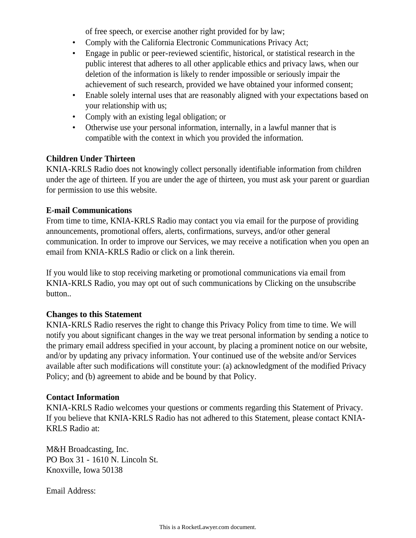of free speech, or exercise another right provided for by law;

- Comply with the California Electronic Communications Privacy Act;
- Engage in public or peer-reviewed scientific, historical, or statistical research in the public interest that adheres to all other applicable ethics and privacy laws, when our deletion of the information is likely to render impossible or seriously impair the achievement of such research, provided we have obtained your informed consent;
- Enable solely internal uses that are reasonably aligned with your expectations based on your relationship with us;
- Comply with an existing legal obligation; or
- Otherwise use your personal information, internally, in a lawful manner that is compatible with the context in which you provided the information.

# **Children Under Thirteen**

KNIA-KRLS Radio does not knowingly collect personally identifiable information from children under the age of thirteen. If you are under the age of thirteen, you must ask your parent or guardian for permission to use this website.

## **E-mail Communications**

From time to time, KNIA-KRLS Radio may contact you via email for the purpose of providing announcements, promotional offers, alerts, confirmations, surveys, and/or other general communication. In order to improve our Services, we may receive a notification when you open an email from KNIA-KRLS Radio or click on a link therein.

If you would like to stop receiving marketing or promotional communications via email from KNIA-KRLS Radio, you may opt out of such communications by Clicking on the unsubscribe button..

# **Changes to this Statement**

KNIA-KRLS Radio reserves the right to change this Privacy Policy from time to time. We will notify you about significant changes in the way we treat personal information by sending a notice to the primary email address specified in your account, by placing a prominent notice on our website, and/or by updating any privacy information. Your continued use of the website and/or Services available after such modifications will constitute your: (a) acknowledgment of the modified Privacy Policy; and (b) agreement to abide and be bound by that Policy.

### **Contact Information**

KNIA-KRLS Radio welcomes your questions or comments regarding this Statement of Privacy. If you believe that KNIA-KRLS Radio has not adhered to this Statement, please contact KNIA-KRLS Radio at:

M&H Broadcasting, Inc. PO Box 31 - 1610 N. Lincoln St. Knoxville, Iowa 50138

Email Address: